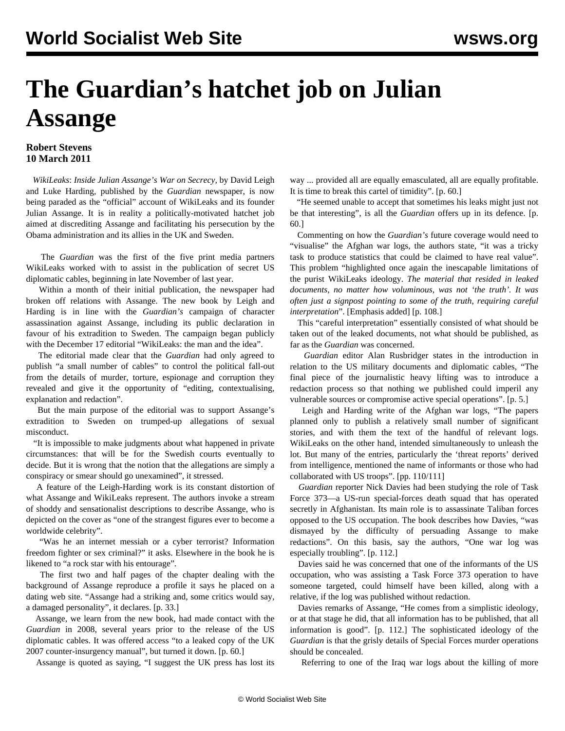## **The Guardian's hatchet job on Julian Assange**

## **Robert Stevens 10 March 2011**

 *WikiLeaks*: *Inside Julian Assange's War on Secrecy,* by David Leigh and Luke Harding, published by the *Guardian* newspaper, is now being paraded as the "official" account of WikiLeaks and its founder Julian Assange. It is in reality a politically-motivated hatchet job aimed at discrediting Assange and facilitating his persecution by the Obama administration and its allies in the UK and Sweden.

 The *Guardian* was the first of the five print media partners WikiLeaks worked with to assist in the publication of secret US diplomatic cables, beginning in late November of last year.

 Within a month of their initial publication, the newspaper had broken off relations with Assange. The new book by Leigh and Harding is in line with the *Guardian's* campaign of character assassination against Assange, including its public declaration in favour of his extradition to Sweden. The campaign began publicly with the December 17 editorial "WikiLeaks: the man and the idea".

 The editorial made clear that the *Guardian* had only agreed to publish "a small number of cables" to control the political fall-out from the details of murder, torture, espionage and corruption they revealed and give it the opportunity of "editing, contextualising, explanation and redaction".

 But the main purpose of the editorial was to support Assange's extradition to Sweden on trumped-up allegations of sexual misconduct.

 "It is impossible to make judgments about what happened in private circumstances: that will be for the Swedish courts eventually to decide. But it is wrong that the notion that the allegations are simply a conspiracy or smear should go unexamined", it stressed.

 A feature of the Leigh-Harding work is its constant distortion of what Assange and WikiLeaks represent. The authors invoke a stream of shoddy and sensationalist descriptions to describe Assange, who is depicted on the cover as "one of the strangest figures ever to become a worldwide celebrity".

 "Was he an internet messiah or a cyber terrorist? Information freedom fighter or sex criminal?" it asks. Elsewhere in the book he is likened to "a rock star with his entourage".

 The first two and half pages of the chapter dealing with the background of Assange reproduce a profile it says he placed on a dating web site. "Assange had a striking and, some critics would say, a damaged personality", it declares. [p. 33.]

 Assange, we learn from the new book, had made contact with the *Guardian* in 2008, several years prior to the release of the US diplomatic cables. It was offered access "to a leaked copy of the UK 2007 counter-insurgency manual", but turned it down. [p. 60.]

Assange is quoted as saying, "I suggest the UK press has lost its

way ... provided all are equally emasculated, all are equally profitable. It is time to break this cartel of timidity". [p. 60.]

 "He seemed unable to accept that sometimes his leaks might just not be that interesting", is all the *Guardian* offers up in its defence. [p. 60.]

 Commenting on how the *Guardian's* future coverage would need to "visualise" the Afghan war logs, the authors state, "it was a tricky task to produce statistics that could be claimed to have real value". This problem "highlighted once again the inescapable limitations of the purist WikiLeaks ideology. *The material that resided in leaked documents, no matter how voluminous, was not 'the truth'. It was often just a signpost pointing to some of the truth, requiring careful interpretation*". [Emphasis added] [p. 108.]

 This "careful interpretation" essentially consisted of what should be taken out of the leaked documents, not what should be published, as far as the *Guardian* was concerned.

 *Guardian* editor Alan Rusbridger states in the introduction in relation to the US military documents and diplomatic cables, "The final piece of the journalistic heavy lifting was to introduce a redaction process so that nothing we published could imperil any vulnerable sources or compromise active special operations". [p. 5.]

 Leigh and Harding write of the Afghan war logs, "The papers planned only to publish a relatively small number of significant stories, and with them the text of the handful of relevant logs. WikiLeaks on the other hand, intended simultaneously to unleash the lot. But many of the entries, particularly the 'threat reports' derived from intelligence, mentioned the name of informants or those who had collaborated with US troops". [pp. 110/111]

 *Guardian* reporter Nick Davies had been studying the role of Task Force 373—a US-run special-forces death squad that has operated secretly in Afghanistan. Its main role is to assassinate Taliban forces opposed to the US occupation. The book describes how Davies, "was dismayed by the difficulty of persuading Assange to make redactions". On this basis, say the authors, "One war log was especially troubling". [p. 112.]

 Davies said he was concerned that one of the informants of the US occupation, who was assisting a Task Force 373 operation to have someone targeted, could himself have been killed, along with a relative, if the log was published without redaction.

 Davies remarks of Assange, "He comes from a simplistic ideology, or at that stage he did, that all information has to be published, that all information is good". [p. 112.] The sophisticated ideology of the *Guardian* is that the grisly details of Special Forces murder operations should be concealed.

Referring to one of the Iraq war logs about the killing of more